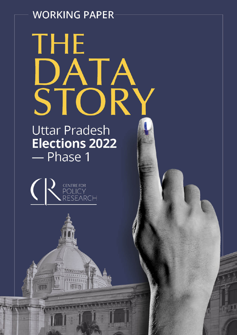# **WORKING PAPER**

# THE DATA<br>STOR

# **Uttar Pradesh Elections 2022** - Phase 1

servar

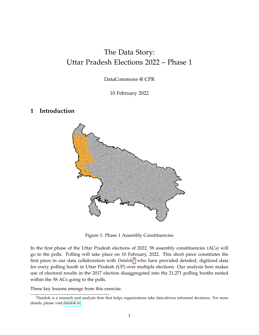# The Data Story: Uttar Pradesh Elections 2022 – Phase 1

DataCommons @ CPR

10 February 2022

#### **1 Introduction**



Figure 1: Phase 1 Assembly Constituencies

In the first phase of the Uttar Pradesh elections of 2022, 58 assembly constituencies (ACs) will go to the polls. Polling will take place on 10 February, 2022. This short piece constitutes the first piece in our data collaboration with *Datalok*, [1](#page-1-0) who have provided detailed, digitized data for every polling booth in Uttar Pradesh (UP) over multiple elections. Our analysis here makes use of electoral results in the 2017 election disaggregated into the 21,271 polling booths nested within the 58 ACs going to the polls.

Three key lessons emerge from this exercise.

<span id="page-1-0"></span><sup>&</sup>lt;sup>1</sup>Datalok is a research and analysis firm that helps organizations take data-driven informed decisions. For more details, please visit [datalok.in.](https://datalok.in/)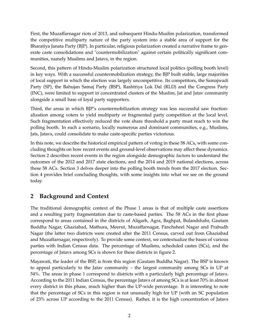First, the Muzaffarnagar riots of 2013, and subsequent Hindu-Muslim polarization, transformed the competitive multiparty nature of the party system into a stable area of support for the Bharatiya Janata Party (BJP). In particular, religious polarization created a narrative frame to generate caste consolidations and "countermobilization" against certain politically significant communities, namely Muslims and Jatavs, in the region.

Second, this pattern of Hindu-Muslim polarization structured local politics (polling booth level) in key ways. With a successful countermobilzation strategy, the BJP built stable, large majorities of local support in which the election was largely uncompetitive. Its competitors, the Samajwadi Party (SP), the Bahujan Samaj Party (BSP), Rashtriya Lok Dal (RLD) and the Congress Party (INC), were limited to support in concentrated clusters of the Muslim, Jat and Jatav community alongside a small base of loyal party supporters.

Third, the areas in which BJP's countermobilization strategy was less successful saw fractionalization among voters to yield multiparty or fragmented party competition at the local level. Such fragmentation effectively reduced the vote share threshold a party must reach to win the polling booth. In such a scenario, locally numerous and dominant communities, e.g., Muslims, Jats, Jatavs, could consolidate to make caste-specific parties victorious.

In this note, we describe the historical empirical pattern of voting in these 58 ACs, with some concluding thoughts on how recent events and ground-level observations may affect these dynamics. Section 2 describes recent events in the region alongside demographic factors to understand the outcomes of the 2012 and 2017 state elections, and the 2014 and 2019 national elections, across these 58 ACs. Section 3 delves deeper into the polling booth trends from the 2017 election. Section 4 provides brief concluding thoughts, with some insights into what we see on the ground today.

## **2 Background and Context**

The traditional demographic context of the Phase 1 areas is that of multiple caste assertions and a resulting party fragmentation due to caste-based parties. The 58 ACs in the first phase correspond to areas contained in the districts of Aligarh, Agra, Baghpat, Bulandshahr, Gautam Buddha Nagar, Ghaziabad, Mathura, Meerut, Muzaffarnagar, Panchsheel Nagar and Prabudh Nagar (the latter two districts were created after the 2011 Census, carved out from Ghaziabad and Muzaffarnagar, respectively). To provide some context, we contextualize the bases of various parties with Indian Census data. The percentage of Muslims, scheduled castes (SCs), and the percentage of Jatavs among SCs is shown for these districts in figure 2.

Mayawati, the leader of the BSP, is from this region (Gautam Buddha Nagar). The BSP is known to appeal particularly to the Jatav community – the largest community among SCs in UP at 54%. The areas in phase 1 correspond to districts with a particularly high percentage of Jatavs. According to the 2011 Indian Census, the percentage Jatavs of among SCs is at least 70% in almost every district in this phase, much higher than the UP-wide percentage. It is interesting to note that the percentage of SCs in this region is not unusually high for UP (with an SC population of 23% across UP according to the 2011 Census). Rather, it is the high concentration of Jatavs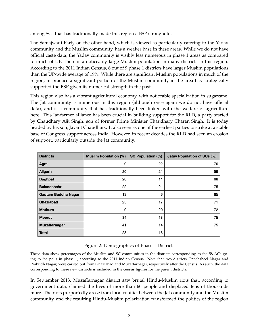among SCs that has traditionally made this region a BSP stronghold.

The Samajwadi Party on the other hand, which is viewed as particularly catering to the Yadav community and the Muslim community, has a weaker base in these areas. While we do not have official caste data, the Yadav community is visibly less numerous in phase 1 areas as compared to much of UP. There is a noticeably large Muslim population in many districts in this region. According to the 2011 Indian Census, 6 out of 9 phase 1 districts have larger Muslim populations than the UP-wide average of 19%. While there are significant Muslim populations in much of the region, in practice a significant portion of the Muslim community in the area has strategically supported the BSP given its numerical strength in the past.

This region also has a vibrant agricultural economy, with noticeable specialization in sugarcane. The Jat community is numerous in this region (although once again we do not have official data), and is a community that has traditionally been linked with the welfare of agriculture here. This Jat-farmer alliance has been crucial in building support for the RLD, a party started by Chaudhary Ajit Singh, son of former Prime Minister Chaudhary Charan Singh. It is today headed by his son, Jayant Chaudhary. It also seen as one of the earliest parties to strike at a stable base of Congress support across India. However, in recent decades the RLD had seen an erosion of support, particularly outside the Jat community.

| <b>Districts</b>     | <b>Muslim Population (%)</b> | <b>SC Population (%)</b> | <b>Jatav Population of SCs (%)</b> |
|----------------------|------------------------------|--------------------------|------------------------------------|
| Agra                 | 9                            | 22                       | 70                                 |
| Aligarh              | 20                           | 21                       | 59                                 |
| <b>Baghpat</b>       | 28                           | 11                       | 68                                 |
| <b>Bulandshahr</b>   | 22                           | 21                       | 75                                 |
| Gautam Buddha Nagar  | 13                           | 6                        | 65                                 |
| Ghaziabad            | 25                           | 17                       | 71                                 |
| <b>Mathura</b>       | 9                            | 20                       | 72                                 |
| <b>Meerut</b>        | 34                           | 18                       | 75                                 |
| <b>Muzaffarnagar</b> | 41                           | 14                       | 75                                 |
| <b>Total</b>         | 23                           | 18                       |                                    |

#### Figure 2: Demographics of Phase 1 Districts

These data show percentages of the Muslim and SC communities in the districts corresponding to the 58 ACs going to the polls in phase 1, according to the 2011 Indian Census. Note that two districts, Panchsheel Nagar and Prabudh Nagar, were carved out from Ghaziabad and Muzaffarnagar, respectively after the Census. As such, the data corresponding to these new districts is included in the census figures for the parent districts.

In September 2013, Muzaffarnagar district saw brutal Hindu-Muslim riots that, according to government data, claimed the lives of more than 60 people and displaced tens of thousands more. The riots purportedly arose from local conflict between the Jat community and the Muslim community, and the resulting Hindu-Muslim polarization transformed the politics of the region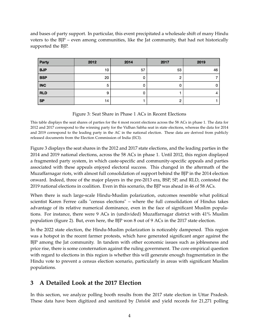and bases of party support. In particular, this event precipitated a wholesale shift of many Hindu voters to the BJP – even among communities, like the Jat community, that had not historically supported the BJP.

| Party      | 2012 | 2014 | 2017 | 2019 |
|------------|------|------|------|------|
| <b>BJP</b> | 10   | 57   | 53   | 46   |
| <b>BSP</b> | 20   | 0    |      |      |
| <b>INC</b> | 5    | 0    |      | 0    |
| <b>RLD</b> | 9    | 0    |      | 4    |
| <b>SP</b>  | 14   |      |      |      |

Figure 3: Seat Share in Phase 1 ACs in Recent Elections

This table displays the seat shares of parties for the 4 most recent elections across the 58 ACs in phase 1. The data for 2012 and 2017 correspond to the winning party for the Vidhan Sabha seat in state elections, whereas the data for 2014 and 2019 correspond to the leading party in the AC in the national election. These data are derived from publicly released documents from the Election Commission of India (ECI).

Figure 3 displays the seat shares in the 2012 and 2017 state elections, and the leading parties in the 2014 and 2019 national elections, across the 58 ACs in phase 1. Until 2012, this region displayed a fragmented party system, in which caste-specific and community-specific appeals and parties associated with these appeals enjoyed electoral success. This changed in the aftermath of the Muzaffarnagar riots, with almost full consolidation of support behind the BJP in the 2014 election onward. Indeed, three of the major players in the pre-2013 era, BSP, SP, and RLD, contested the 2019 national elections in coalition. Even in this scenario, the BJP was ahead in 46 of 58 ACs.

When there is such large-scale Hindu-Muslim polarization, outcomes resemble what political scientist Karen Ferree calls "census elections" – where the full consolidation of Hindus takes advantage of its relative numerical dominance, even in the face of significant Muslim populations. For instance, there were 9 ACs in (undivided) Muzaffarnagar district with 41% Muslim population (figure 2). But, even here, the BJP won 8 out of 9 ACs in the 2017 state election.

In the 2022 state election, the Hindu-Muslim polarization is noticeably dampened. This region was a hotspot in the recent farmer protests, which have generated significant anger against the BJP among the Jat community. In tandem with other economic issues such as joblessness and price rise, there is some consternation against the ruling government. The core empirical question with regard to elections in this region is whether this will generate enough fragmentation in the Hindu vote to prevent a census election scenario, particularly in areas with significant Muslim populations.

### **3 A Detailed Look at the 2017 Election**

In this section, we analyze polling booth results from the 2017 state election in Uttar Pradesh. These data have been digitized and sanitized by *Datalok* and yield records for 21,271 polling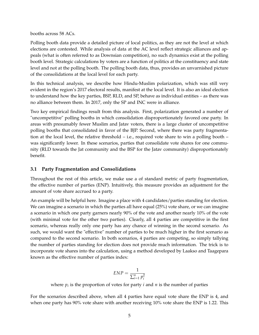booths across 58 ACs.

Polling booth data provide a detailed picture of local politics, as they are not the level at which elections are contested. While analysis of data at the AC level reflect strategic alliances and appeals (what is often referred to as Downsian competition), no such dynamics exist at the polling booth level. Strategic calculations by voters are a function of politics at the constituency and state level and not at the polling booth. The polling booth data, thus, provides an unvarnished picture of the consolidations at the local level for each party.

In this technical analysis, we describe how Hindu-Muslim polarization, which was still very evident in the region's 2017 electoral results, manifest at the local level. It is also an ideal election to understand how the key parties, BSP, RLD, and SP, behave as individual entities – as there was no alliance between them. In 2017, only the SP and INC were in alliance.

Two key empirical findings result from this analysis. First, polarization generated a number of "uncompetitive" polling booths in which consolidation disproportionately favored one party. In areas with presumably fewer Muslim and Jatav voters, there is a large cluster of uncompetitive polling booths that consolidated in favor of the BJP. Second, where there was party fragmentation at the local level, the relative threshold – i.e., required vote share to win a polling booth – was significantly lower. In these scenarios, parties that consolidate vote shares for one community (RLD towards the Jat community and the BSP for the Jatav community) disproportionately benefit.

#### **3.1 Party Fragmentation and Consolidations**

Throughout the rest of this article, we make use a of standard metric of party fragmentation, the effective number of parties (ENP). Intuitively, this measure provides an adjustment for the amount of vote share accrued to a party.

An example will be helpful here. Imagine a place with 4 candidates/parties standing for election. We can imagine a scenario in which the parties all have equal (25%) vote share, or we can imagine a scenario in which one party garners nearly 90% of the vote and another nearly 10% of the vote (with minimal vote for the other two parties). Clearly, all 4 parties are competitive in the first scenario, whereas really only one party has any chance of winning in the second scenario. As such, we would want the "effective" number of parties to be much higher in the first scenario as compared to the second scenario. In both scenarios, 4 parties are competing, so simply tallying the number of parties standing for election does not provide much information. The trick is to incorporate vote shares into the calculation, using a method developed by Laakso and Taagepara known as the effective number of parties index:

$$
ENP = \frac{1}{\sum_{i=1}^{n} p_i^2}
$$

where *p<sup>i</sup>* is the proportion of votes for party *i* and *n* is the number of parties

For the scenarios described above, when all 4 parties have equal vote share the ENP is 4, and when one party has 90% vote share with another receiving 10% vote share the ENP is 1.22. This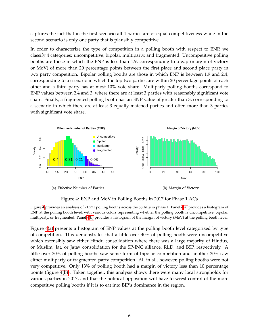captures the fact that in the first scenario all 4 parties are of equal competitiveness while in the second scenario is only one party that is plausibly competitive.

In order to characterize the type of competition in a polling booth with respect to ENP, we classify 4 categories: uncompetitive, bipolar, multiparty, and fragmented. Uncompetitive polling booths are those in which the ENP is less than 1.9, corresponding to a gap (margin of victory or MoV) of more than 20 percentage points between the first place and second place party in two party competition. Bipolar polling booths are those in which ENP is between 1.9 and 2.4, corresponding to a scenario in which the top two parties are within 20 percentage points of each other and a third party has at most 10% vote share. Multiparty polling booths correspond to ENP values between 2.4 and 3, where there are at least 3 parties with reasonably significant vote share. Finally, a fragmented polling booth has an ENP value of greater than 3, corresponding to a scenario in which there are at least 3 equally matched parties and often more than 3 parties with significant vote share.

<span id="page-6-1"></span>

<span id="page-6-2"></span><span id="page-6-0"></span>Figure 4: ENP and MoV in Polling Booths in 2017 for Phase 1 ACs

Figure [4](#page-6-0) provides an analysis of 21,271 polling booths across the 58 ACs in phase 1. Panel [4](#page-6-0)[\(a\)](#page-6-1) provides a histogram of ENP at the polling booth level, with various colors representing whether the polling booth is uncompetitive, bipolar, multiparty, or fragmented. Panel [4](#page-6-0)[\(b\)](#page-6-2) provides a histogram of the margin of victory (MoV) at the polling booth level.

Figure [4](#page-6-0)[\(a\)](#page-6-1) presents a histogram of ENP values at the polling booth level categorized by type of competition. This demonstrates that a little over 40% of polling booth were uncompetitive which ostensibly saw either Hindu consolidation where there was a large majority of Hindus, or Muslim, Jat, or Jatav consolidation for the SP-INC alliance, RLD, and BSP, respectively. A little over 30% of polling booths saw some form of bipolar competition and another 30% saw either multiparty or fragmented party competition. All in all, however, polling booths were not very competitive. Only 13% of polling booth had a margin of victory less than 10 percentage points (figure [4](#page-6-0)[\(b\)\)](#page-6-2). Taken together, this analysis shows there were many local strongholds for various parties in 2017, and that the political opposition will have to wrest control of the more competitive polling booths if it is to eat into BJP's dominance in the region.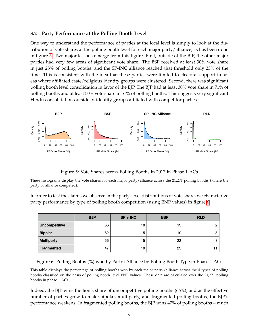#### **3.2 Party Performance at the Polling Booth Level**

One way to understand the performance of parties at the local level is simply to look at the distribution of vote shares at the polling booth level for each major party/alliance, as has been done in figure [5.](#page-7-0) Two major lessons emerge from this figure. First, outside of the BJP, the other major parties had very few areas of significant vote share. The BSP received at least 30% vote share in just 28% of polling booths, and the SP-INC alliance reached that threshold only 23% of the time. This is consistent with the idea that these parties were limited to electoral support in areas where affiliated caste/religious identity groups were clustered. Second, there was significant polling booth level consolidation in favor of the BJP. The BJP had at least 30% vote share in 71% of polling booths and at least 50% vote share in 51% of polling booths. This suggests very significant Hindu consolidation outside of identity groups affiliated with competitor parties.



<span id="page-7-0"></span>Figure 5: Vote Shares across Polling Booths in 2017 in Phase 1 ACs

These histograms display the vote shares for each major party/alliance across the 21,271 polling booths (where the party or alliance competed).

In order to test the claims we observe in the party-level distributions of vote share, we characterize party performance by type of polling booth competition (using ENP values) in figure [6.](#page-7-1)

|                      | <b>BJP</b> | $SP + INC$ | <b>BSP</b> | <b>RLD</b> |
|----------------------|------------|------------|------------|------------|
| <b>Uncompetitive</b> | 66         | 18         | 13         |            |
| <b>Bipolar</b>       | 62         | 15         | 19         | 5          |
| <b>Multiparty</b>    | 55         | 15         | 22         | 8          |
| Fragmented           | 47         | 18         | 23         |            |

<span id="page-7-1"></span>Figure 6: Polling Booths (%) won by Party/Alliance by Polling Booth Type in Phase 1 ACs

This table displays the percentage of polling booths won by each major party/alliance across the 4 types of polling booths classified on the basis of polling booth level ENP values. These data are calculated over the 21,271 polling booths in phase 1 ACs.

Indeed, the BJP wins the lion's share of uncompetitive polling booths (66%), and as the effective number of parties grow to make bipolar, multiparty, and fragmented polling booths, the BJP's performance weakens. In fragmented polling booths, the BJP wins 47% of polling booths – much